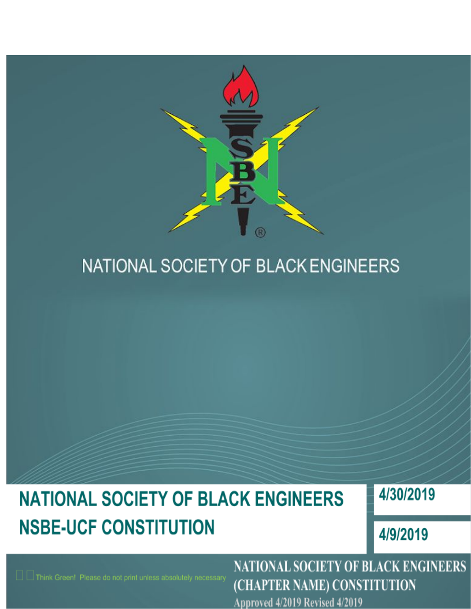

## NATIONAL SOCIETY OF BLACK ENGINEERS

# **NATIONAL SOCIETY OF BLACK ENGINEERS NSBE-UCF CONSTITUTION**

4/30/2019

4/9/2019

**NATIONAL SOCIETY OF BLACK ENGINEERS** (CHAPTER NAME) CONSTITUTION

Approved 4/2019 Revised 4/2019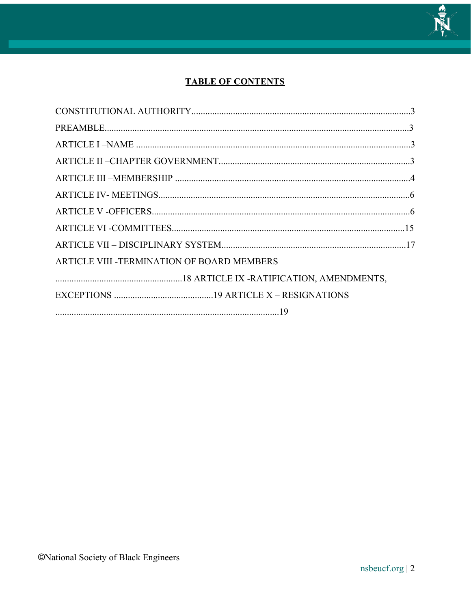

### **TABLE OF CONTENTS**

| ARTICLE VIII - TERMINATION OF BOARD MEMBERS |  |
|---------------------------------------------|--|
|                                             |  |
|                                             |  |
|                                             |  |
|                                             |  |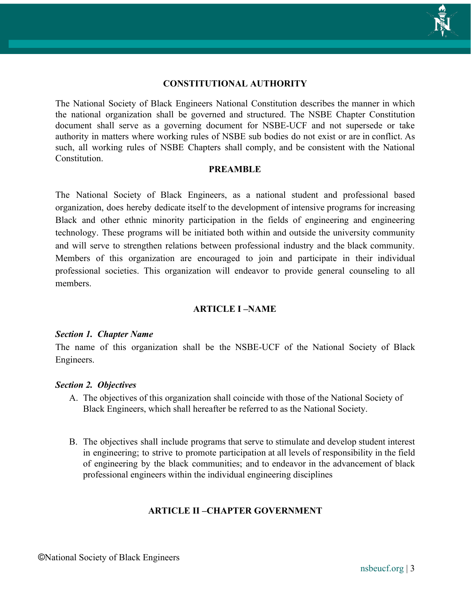#### **CONSTITUTIONAL AUTHORITY**

The National Society of Black Engineers National Constitution describes the manner in which the national organization shall be governed and structured. The NSBE Chapter Constitution document shall serve as a governing document for NSBE-UCF and not supersede or take authority in matters where working rules of NSBE sub bodies do not exist or are in conflict. As such, all working rules of NSBE Chapters shall comply, and be consistent with the National **Constitution** 

#### **PREAMBLE**

The National Society of Black Engineers, as a national student and professional based organization, does hereby dedicate itself to the development of intensive programs for increasing Black and other ethnic minority participation in the fields of engineering and engineering technology. These programs will be initiated both within and outside the university community and will serve to strengthen relations between professional industry and the black community. Members of this organization are encouraged to join and participate in their individual professional societies. This organization will endeavor to provide general counseling to all members.

#### **ARTICLE I –NAME**

#### *Section 1. Chapter Name*

The name of this organization shall be the NSBE-UCF of the National Society of Black Engineers.

#### *Section 2. Objectives*

- A. The objectives of this organization shall coincide with those of the National Society of Black Engineers, which shall hereafter be referred to as the National Society.
- B. The objectives shall include programs that serve to stimulate and develop student interest in engineering; to strive to promote participation at all levels of responsibility in the field of engineering by the black communities; and to endeavor in the advancement of black professional engineers within the individual engineering disciplines

### **ARTICLE II –CHAPTER GOVERNMENT**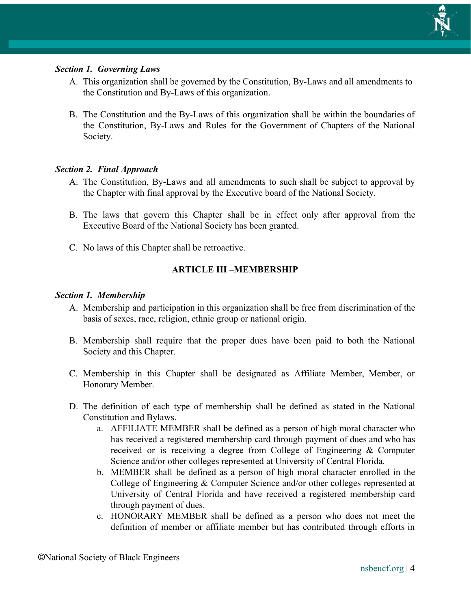

#### *Section 1. Governing Laws*

- A. This organization shall be governed by the Constitution, By-Laws and all amendments to the Constitution and By-Laws of this organization.
- B. The Constitution and the By-Laws of this organization shall be within the boundaries of the Constitution, By-Laws and Rules for the Government of Chapters of the National Society.

#### *Section 2. Final Approach*

- A. The Constitution, By-Laws and all amendments to such shall be subject to approval by the Chapter with final approval by the Executive board of the National Society.
- B. The laws that govern this Chapter shall be in effect only after approval from the Executive Board of the National Society has been granted.
- C. No laws of this Chapter shall be retroactive.

#### **ARTICLE III –MEMBERSHIP**

#### *Section 1. Membership*

- A. Membership and participation in this organization shall be free from discrimination of the basis of sexes, race, religion, ethnic group or national origin.
- B. Membership shall require that the proper dues have been paid to both the National Society and this Chapter.
- C. Membership in this Chapter shall be designated as Affiliate Member, Member, or Honorary Member.
- D. The definition of each type of membership shall be defined as stated in the National Constitution and Bylaws.
	- a. AFFILIATE MEMBER shall be defined as a person of high moral character who has received a registered membership card through payment of dues and who has received or is receiving a degree from College of Engineering & Computer Science and/or other colleges represented at University of Central Florida.
	- b. MEMBER shall be defined as a person of high moral character enrolled in the College of Engineering & Computer Science and/or other colleges represented at University of Central Florida and have received a registered membership card through payment of dues.
	- c. HONORARY MEMBER shall be defined as a person who does not meet the definition of member or affiliate member but has contributed through efforts in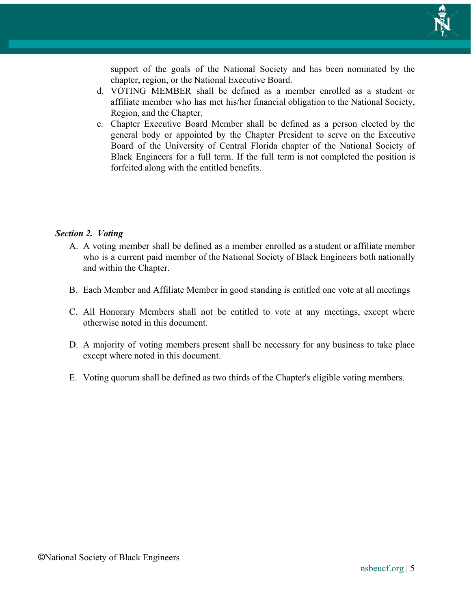

support of the goals of the National Society and has been nominated by the chapter, region, or the National Executive Board.

- d. VOTING MEMBER shall be defined as a member enrolled as a student or affiliate member who has met his/her financial obligation to the National Society, Region, and the Chapter.
- e. Chapter Executive Board Member shall be defined as a person elected by the general body or appointed by the Chapter President to serve on the Executive Board of the University of Central Florida chapter of the National Society of Black Engineers for a full term. If the full term is not completed the position is forfeited along with the entitled benefits.

#### *Section 2. Voting*

- A. A voting member shall be defined as a member enrolled as a student or affiliate member who is a current paid member of the National Society of Black Engineers both nationally and within the Chapter.
- B. Each Member and Affiliate Member in good standing is entitled one vote at all meetings
- C. All Honorary Members shall not be entitled to vote at any meetings, except where otherwise noted in this document.
- D. A majority of voting members present shall be necessary for any business to take place except where noted in this document.
- E. Voting quorum shall be defined as two thirds of the Chapter's eligible voting members.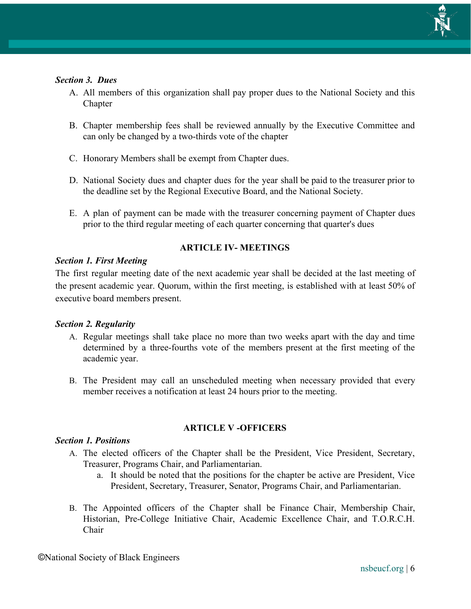

#### *Section 3. Dues*

- A. All members of this organization shall pay proper dues to the National Society and this Chapter
- B. Chapter membership fees shall be reviewed annually by the Executive Committee and can only be changed by a two-thirds vote of the chapter
- C. Honorary Members shall be exempt from Chapter dues.
- D. National Society dues and chapter dues for the year shall be paid to the treasurer prior to the deadline set by the Regional Executive Board, and the National Society.
- E. A plan of payment can be made with the treasurer concerning payment of Chapter dues prior to the third regular meeting of each quarter concerning that quarter's dues

### **ARTICLE IV- MEETINGS**

#### *Section 1. First Meeting*

The first regular meeting date of the next academic year shall be decided at the last meeting of the present academic year. Quorum, within the first meeting, is established with at least 50% of executive board members present.

#### *Section 2. Regularity*

- A. Regular meetings shall take place no more than two weeks apart with the day and time determined by a three-fourths vote of the members present at the first meeting of the academic year.
- B. The President may call an unscheduled meeting when necessary provided that every member receives a notification at least 24 hours prior to the meeting.

#### **ARTICLE V -OFFICERS**

#### *Section 1. Positions*

- A. The elected officers of the Chapter shall be the President, Vice President, Secretary, Treasurer, Programs Chair, and Parliamentarian.
	- a. It should be noted that the positions for the chapter be active are President, Vice President, Secretary, Treasurer, Senator, Programs Chair, and Parliamentarian.
- B. The Appointed officers of the Chapter shall be Finance Chair, Membership Chair, Historian, Pre-College Initiative Chair, Academic Excellence Chair, and T.O.R.C.H. Chair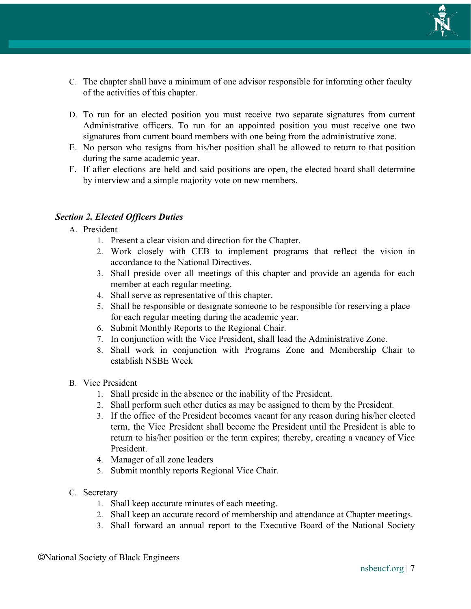

- C. The chapter shall have a minimum of one advisor responsible for informing other faculty of the activities of this chapter.
- D. To run for an elected position you must receive two separate signatures from current Administrative officers. To run for an appointed position you must receive one two signatures from current board members with one being from the administrative zone.
- E. No person who resigns from his/her position shall be allowed to return to that position during the same academic year.
- F. If after elections are held and said positions are open, the elected board shall determine by interview and a simple majority vote on new members.

#### *Section 2. Elected Officers Duties*

- A. President
	- 1. Present a clear vision and direction for the Chapter.
	- 2. Work closely with CEB to implement programs that reflect the vision in accordance to the National Directives.
	- 3. Shall preside over all meetings of this chapter and provide an agenda for each member at each regular meeting.
	- 4. Shall serve as representative of this chapter.
	- 5. Shall be responsible or designate someone to be responsible for reserving a place for each regular meeting during the academic year.
	- 6. Submit Monthly Reports to the Regional Chair.
	- 7. In conjunction with the Vice President, shall lead the Administrative Zone.
	- 8. Shall work in conjunction with Programs Zone and Membership Chair to establish NSBE Week
- B. Vice President
	- 1. Shall preside in the absence or the inability of the President.
	- 2. Shall perform such other duties as may be assigned to them by the President.
	- 3. If the office of the President becomes vacant for any reason during his/her elected term, the Vice President shall become the President until the President is able to return to his/her position or the term expires; thereby, creating a vacancy of Vice President.
	- 4. Manager of all zone leaders
	- 5. Submit monthly reports Regional Vice Chair.
- C. Secretary
	- 1. Shall keep accurate minutes of each meeting.
	- 2. Shall keep an accurate record of membership and attendance at Chapter meetings.
	- 3. Shall forward an annual report to the Executive Board of the National Society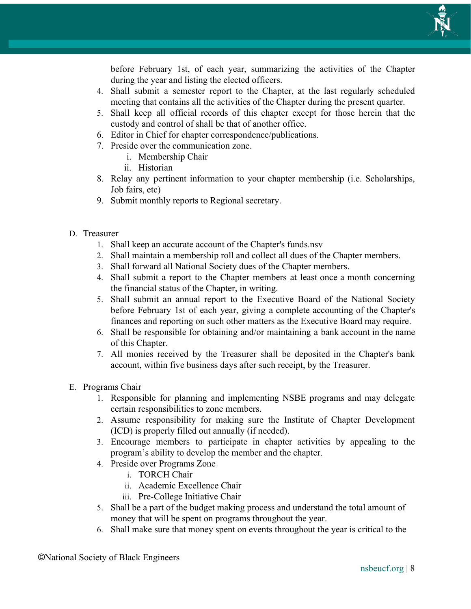

before February 1st, of each year, summarizing the activities of the Chapter during the year and listing the elected officers.

- 4. Shall submit a semester report to the Chapter, at the last regularly scheduled meeting that contains all the activities of the Chapter during the present quarter.
- 5. Shall keep all official records of this chapter except for those herein that the custody and control of shall be that of another office.
- 6. Editor in Chief for chapter correspondence/publications.
- 7. Preside over the communication zone.
	- i. Membership Chair
	- ii. Historian
- 8. Relay any pertinent information to your chapter membership (i.e. Scholarships, Job fairs, etc)
- 9. Submit monthly reports to Regional secretary.
- D. Treasurer
	- 1. Shall keep an accurate account of the Chapter's funds.nsv
	- 2. Shall maintain a membership roll and collect all dues of the Chapter members.
	- 3. Shall forward all National Society dues of the Chapter members.
	- 4. Shall submit a report to the Chapter members at least once a month concerning the financial status of the Chapter, in writing.
	- 5. Shall submit an annual report to the Executive Board of the National Society before February 1st of each year, giving a complete accounting of the Chapter's finances and reporting on such other matters as the Executive Board may require.
	- 6. Shall be responsible for obtaining and/or maintaining a bank account in the name of this Chapter.
	- 7. All monies received by the Treasurer shall be deposited in the Chapter's bank account, within five business days after such receipt, by the Treasurer.
- E. Programs Chair
	- 1. Responsible for planning and implementing NSBE programs and may delegate certain responsibilities to zone members.
	- 2. Assume responsibility for making sure the Institute of Chapter Development (ICD) is properly filled out annually (if needed).
	- 3. Encourage members to participate in chapter activities by appealing to the program's ability to develop the member and the chapter.
	- 4. Preside over Programs Zone
		- i. TORCH Chair
		- ii. Academic Excellence Chair
		- iii. Pre-College Initiative Chair
	- 5. Shall be a part of the budget making process and understand the total amount of money that will be spent on programs throughout the year.
	- 6. Shall make sure that money spent on events throughout the year is critical to the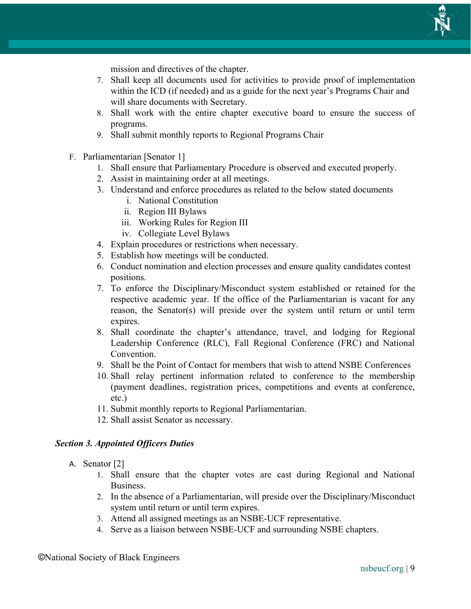

mission and directives of the chapter.

- 7. Shall keep all documents used for activities to provide proof of implementation within the ICD (if needed) and as a guide for the next year's Programs Chair and will share documents with Secretary.
- 8. Shall work with the entire chapter executive board to ensure the success of programs.
- 9. Shall submit monthly reports to Regional Programs Chair
- F. Parliamentarian [Senator 1]
	- 1. Shall ensure that Parliamentary Procedure is observed and executed properly.
	- 2. Assist in maintaining order at all meetings.
	- 3. Understand and enforce procedures as related to the below stated documents
		- i. National Constitution
		- ii. Region III Bylaws
		- iii. Working Rules for Region III
		- iv. Collegiate Level Bylaws
	- 4. Explain procedures or restrictions when necessary.
	- 5. Establish how meetings will be conducted.
	- 6. Conduct nomination and election processes and ensure quality candidates contest positions.
	- 7. To enforce the Disciplinary/Misconduct system established or retained for the respective academic year. If the office of the Parliamentarian is vacant for any reason, the Senator(s) will preside over the system until return or until term expires.
	- 8. Shall coordinate the chapter's attendance, travel, and lodging for Regional Leadership Conference (RLC), Fall Regional Conference (FRC) and National **Convention**
	- 9. Shall be the Point of Contact for members that wish to attend NSBE Conferences
	- 10. Shall relay pertinent information related to conference to the membership (payment deadlines, registration prices, competitions and events at conference, etc.)
	- 11. Submit monthly reports to Regional Parliamentarian.
	- 12. Shall assist Senator as necessary.

#### *Section 3. Appointed Officers Duties*

- A. Senator [2]
	- 1. Shall ensure that the chapter votes are cast during Regional and National Business.
	- 2. In the absence of a Parliamentarian, will preside over the Disciplinary/Misconduct system until return or until term expires.
	- 3. Attend all assigned meetings as an NSBE-UCF representative.
	- 4. Serve as a liaison between NSBE-UCF and surrounding NSBE chapters.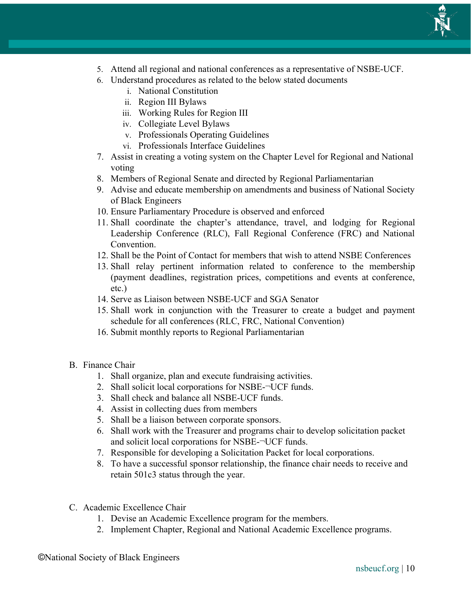

- 5. Attend all regional and national conferences as a representative of NSBE-UCF.
- 6. Understand procedures as related to the below stated documents
	- i. National Constitution
	- ii. Region III Bylaws
	- iii. Working Rules for Region III
	- iv. Collegiate Level Bylaws
	- v. Professionals Operating Guidelines
	- vi. Professionals Interface Guidelines
- 7. Assist in creating a voting system on the Chapter Level for Regional and National voting
- 8. Members of Regional Senate and directed by Regional Parliamentarian
- 9. Advise and educate membership on amendments and business of National Society of Black Engineers
- 10. Ensure Parliamentary Procedure is observed and enforced
- 11. Shall coordinate the chapter's attendance, travel, and lodging for Regional Leadership Conference (RLC), Fall Regional Conference (FRC) and National Convention.
- 12. Shall be the Point of Contact for members that wish to attend NSBE Conferences
- 13. Shall relay pertinent information related to conference to the membership (payment deadlines, registration prices, competitions and events at conference, etc.)
- 14. Serve as Liaison between NSBE-UCF and SGA Senator
- 15. Shall work in conjunction with the Treasurer to create a budget and payment schedule for all conferences (RLC, FRC, National Convention)
- 16. Submit monthly reports to Regional Parliamentarian
- B. Finance Chair
	- 1. Shall organize, plan and execute fundraising activities.
	- 2. Shall solicit local corporations for NSBE-¬UCF funds.
	- 3. Shall check and balance all NSBE-UCF funds.
	- 4. Assist in collecting dues from members
	- 5. Shall be a liaison between corporate sponsors.
	- 6. Shall work with the Treasurer and programs chair to develop solicitation packet and solicit local corporations for NSBE-¬UCF funds.
	- 7. Responsible for developing a Solicitation Packet for local corporations.
	- 8. To have a successful sponsor relationship, the finance chair needs to receive and retain 501c3 status through the year.
- C. Academic Excellence Chair
	- 1. Devise an Academic Excellence program for the members.
	- 2. Implement Chapter, Regional and National Academic Excellence programs.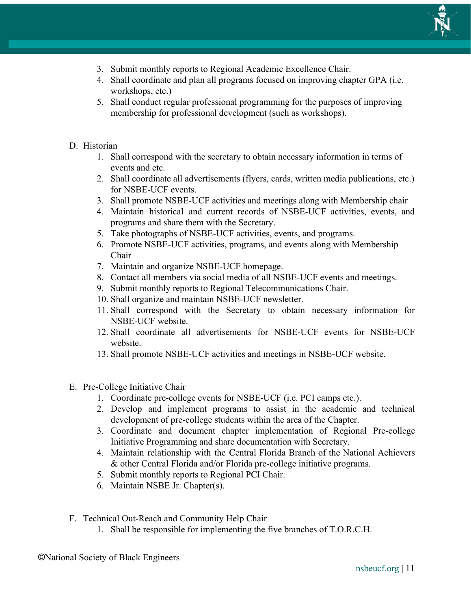

- 3. Submit monthly reports to Regional Academic Excellence Chair.
- 4. Shall coordinate and plan all programs focused on improving chapter GPA (i.e. workshops, etc.)
- 5. Shall conduct regular professional programming for the purposes of improving membership for professional development (such as workshops).

#### D. Historian

- 1. Shall correspond with the secretary to obtain necessary information in terms of events and etc.
- 2. Shall coordinate all advertisements (flyers, cards, written media publications, etc.) for NSBE-UCF events.
- 3. Shall promote NSBE-UCF activities and meetings along with Membership chair
- 4. Maintain historical and current records of NSBE-UCF activities, events, and programs and share them with the Secretary.
- 5. Take photographs of NSBE-UCF activities, events, and programs.
- 6. Promote NSBE-UCF activities, programs, and events along with Membership Chair
- 7. Maintain and organize NSBE-UCF homepage.
- 8. Contact all members via social media of all NSBE-UCF events and meetings.
- 9. Submit monthly reports to Regional Telecommunications Chair.
- 10. Shall organize and maintain NSBE-UCF newsletter.
- 11. Shall correspond with the Secretary to obtain necessary information for NSBE-UCF website.
- 12. Shall coordinate all advertisements for NSBE-UCF events for NSBE-UCF website.
- 13. Shall promote NSBE-UCF activities and meetings in NSBE-UCF website.
- E. Pre-College Initiative Chair
	- 1. Coordinate pre-college events for NSBE-UCF (i.e. PCI camps etc.).
	- 2. Develop and implement programs to assist in the academic and technical development of pre-college students within the area of the Chapter.
	- 3. Coordinate and document chapter implementation of Regional Pre-college Initiative Programming and share documentation with Secretary.
	- 4. Maintain relationship with the Central Florida Branch of the National Achievers & other Central Florida and/or Florida pre-college initiative programs.
	- 5. Submit monthly reports to Regional PCI Chair.
	- 6. Maintain NSBE Jr. Chapter(s).
- F. Technical Out-Reach and Community Help Chair
	- 1. Shall be responsible for implementing the five branches of T.O.R.C.H.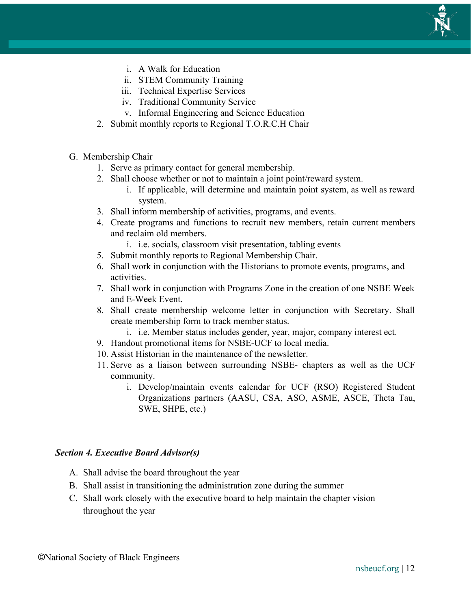

- i. A Walk for Education
- ii. STEM Community Training
- iii. Technical Expertise Services
- iv. Traditional Community Service
- v. Informal Engineering and Science Education
- 2. Submit monthly reports to Regional T.O.R.C.H Chair
- G. Membership Chair
	- 1. Serve as primary contact for general membership.
	- 2. Shall choose whether or not to maintain a joint point/reward system.
		- i. If applicable, will determine and maintain point system, as well as reward system.
	- 3. Shall inform membership of activities, programs, and events.
	- 4. Create programs and functions to recruit new members, retain current members and reclaim old members.
		- i. i.e. socials, classroom visit presentation, tabling events
	- 5. Submit monthly reports to Regional Membership Chair.
	- 6. Shall work in conjunction with the Historians to promote events, programs, and activities.
	- 7. Shall work in conjunction with Programs Zone in the creation of one NSBE Week and E-Week Event.
	- 8. Shall create membership welcome letter in conjunction with Secretary. Shall create membership form to track member status.
		- i. i.e. Member status includes gender, year, major, company interest ect.
	- 9. Handout promotional items for NSBE-UCF to local media.
	- 10. Assist Historian in the maintenance of the newsletter.
	- 11. Serve as a liaison between surrounding NSBE- chapters as well as the UCF community.
		- i. Develop/maintain events calendar for UCF (RSO) Registered Student Organizations partners (AASU, CSA, ASO, ASME, ASCE, Theta Tau, SWE, SHPE, etc.)

#### *Section 4. Executive Board Advisor(s)*

- A. Shall advise the board throughout the year
- B. Shall assist in transitioning the administration zone during the summer
- C. Shall work closely with the executive board to help maintain the chapter vision throughout the year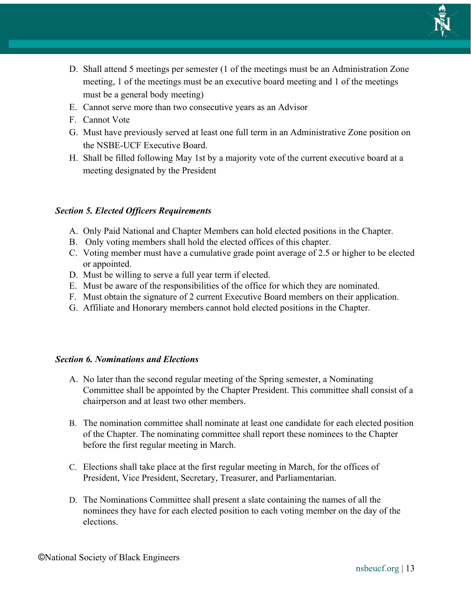

- D. Shall attend 5 meetings per semester (1 of the meetings must be an Administration Zone meeting, 1 of the meetings must be an executive board meeting and 1 of the meetings must be a general body meeting)
- E. Cannot serve more than two consecutive years as an Advisor
- F. Cannot Vote
- G. Must have previously served at least one full term in an Administrative Zone position on the NSBE-UCF Executive Board.
- H. Shall be filled following May 1st by a majority vote of the current executive board at a meeting designated by the President

#### *Section 5. Elected Officers Requirements*

- A. Only Paid National and Chapter Members can hold elected positions in the Chapter.
- B. Only voting members shall hold the elected offices of this chapter.
- C. Voting member must have a cumulative grade point average of 2.5 or higher to be elected or appointed.
- D. Must be willing to serve a full year term if elected.
- E. Must be aware of the responsibilities of the office for which they are nominated.
- F. Must obtain the signature of 2 current Executive Board members on their application.
- G. Affiliate and Honorary members cannot hold elected positions in the Chapter.

#### *Section 6. Nominations and Elections*

- A. No later than the second regular meeting of the Spring semester, a Nominating Committee shall be appointed by the Chapter President. This committee shall consist of a chairperson and at least two other members.
- B. The nomination committee shall nominate at least one candidate for each elected position of the Chapter. The nominating committee shall report these nominees to the Chapter before the first regular meeting in March.
- C. Elections shall take place at the first regular meeting in March, for the offices of President, Vice President, Secretary, Treasurer, and Parliamentarian.
- D. The Nominations Committee shall present a slate containing the names of all the nominees they have for each elected position to each voting member on the day of the elections.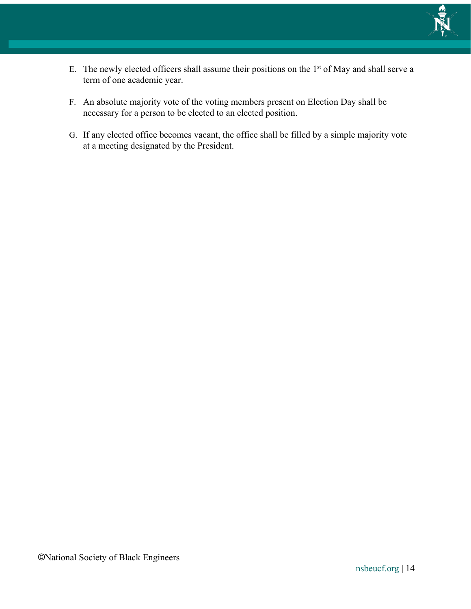

- E. The newly elected officers shall assume their positions on the  $1<sup>st</sup>$  of May and shall serve a term of one academic year.
- F. An absolute majority vote of the voting members present on Election Day shall be necessary for a person to be elected to an elected position.
- G. If any elected office becomes vacant, the office shall be filled by a simple majority vote at a meeting designated by the President.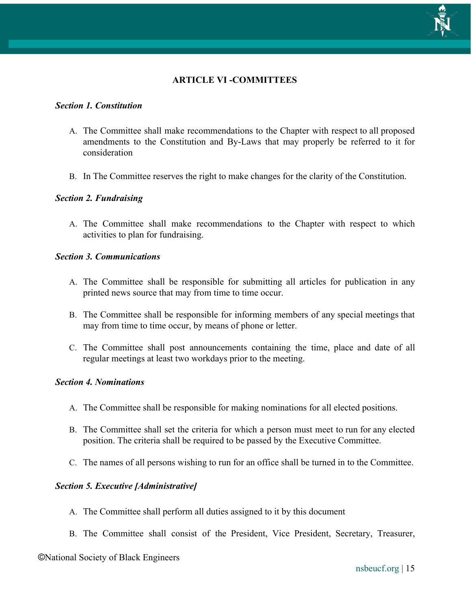

### **ARTICLE VI -COMMITTEES**

#### *Section 1. Constitution*

- A. The Committee shall make recommendations to the Chapter with respect to all proposed amendments to the Constitution and By-Laws that may properly be referred to it for consideration
- B. In The Committee reserves the right to make changes for the clarity of the Constitution.

#### *Section 2. Fundraising*

A. The Committee shall make recommendations to the Chapter with respect to which activities to plan for fundraising.

#### *Section 3. Communications*

- A. The Committee shall be responsible for submitting all articles for publication in any printed news source that may from time to time occur.
- B. The Committee shall be responsible for informing members of any special meetings that may from time to time occur, by means of phone or letter.
- C. The Committee shall post announcements containing the time, place and date of all regular meetings at least two workdays prior to the meeting.

#### *Section 4. Nominations*

- A. The Committee shall be responsible for making nominations for all elected positions.
- B. The Committee shall set the criteria for which a person must meet to run for any elected position. The criteria shall be required to be passed by the Executive Committee.
- C. The names of all persons wishing to run for an office shall be turned in to the Committee.

#### *Section 5. Executive [Administrative]*

- A. The Committee shall perform all duties assigned to it by this document
- B. The Committee shall consist of the President, Vice President, Secretary, Treasurer,

#### ©National Society of Black Engineers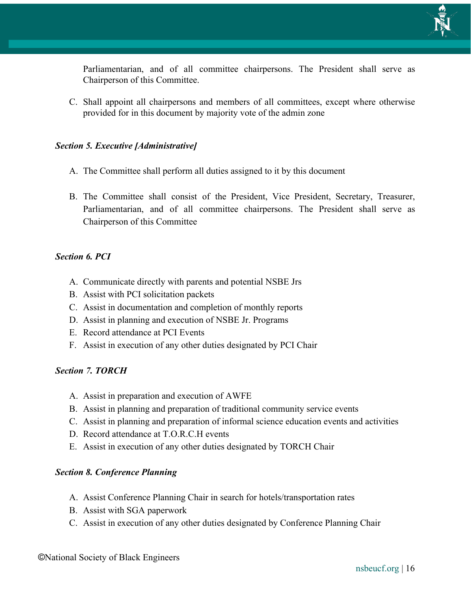

Parliamentarian, and of all committee chairpersons. The President shall serve as Chairperson of this Committee.

C. Shall appoint all chairpersons and members of all committees, except where otherwise provided for in this document by majority vote of the admin zone

#### *Section 5. Executive [Administrative]*

- A. The Committee shall perform all duties assigned to it by this document
- B. The Committee shall consist of the President, Vice President, Secretary, Treasurer, Parliamentarian, and of all committee chairpersons. The President shall serve as Chairperson of this Committee

#### *Section 6. PCI*

- A. Communicate directly with parents and potential NSBE Jrs
- B. Assist with PCI solicitation packets
- C. Assist in documentation and completion of monthly reports
- D. Assist in planning and execution of NSBE Jr. Programs
- E. Record attendance at PCI Events
- F. Assist in execution of any other duties designated by PCI Chair

#### *Section 7. TORCH*

- A. Assist in preparation and execution of AWFE
- B. Assist in planning and preparation of traditional community service events
- C. Assist in planning and preparation of informal science education events and activities
- D. Record attendance at T.O.R.C.H events
- E. Assist in execution of any other duties designated by TORCH Chair

#### *Section 8. Conference Planning*

- A. Assist Conference Planning Chair in search for hotels/transportation rates
- B. Assist with SGA paperwork
- C. Assist in execution of any other duties designated by Conference Planning Chair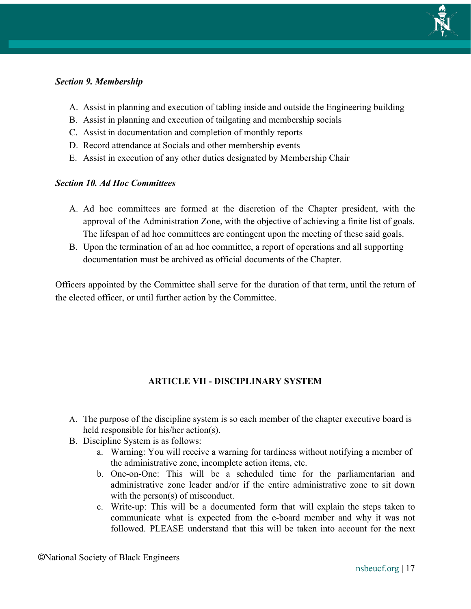

#### *Section 9. Membership*

- A. Assist in planning and execution of tabling inside and outside the Engineering building
- B. Assist in planning and execution of tailgating and membership socials
- C. Assist in documentation and completion of monthly reports
- D. Record attendance at Socials and other membership events
- E. Assist in execution of any other duties designated by Membership Chair

#### *Section 10. Ad Hoc Committees*

- A. Ad hoc committees are formed at the discretion of the Chapter president, with the approval of the Administration Zone, with the objective of achieving a finite list of goals. The lifespan of ad hoc committees are contingent upon the meeting of these said goals.
- B. Upon the termination of an ad hoc committee, a report of operations and all supporting documentation must be archived as official documents of the Chapter.

Officers appointed by the Committee shall serve for the duration of that term, until the return of the elected officer, or until further action by the Committee.

### **ARTICLE VII - DISCIPLINARY SYSTEM**

- A. The purpose of the discipline system is so each member of the chapter executive board is held responsible for his/her action(s).
- B. Discipline System is as follows:
	- a. Warning: You will receive a warning for tardiness without notifying a member of the administrative zone, incomplete action items, etc.
	- b. One-on-One: This will be a scheduled time for the parliamentarian and administrative zone leader and/or if the entire administrative zone to sit down with the person(s) of misconduct.
	- c. Write-up: This will be a documented form that will explain the steps taken to communicate what is expected from the e-board member and why it was not followed. PLEASE understand that this will be taken into account for the next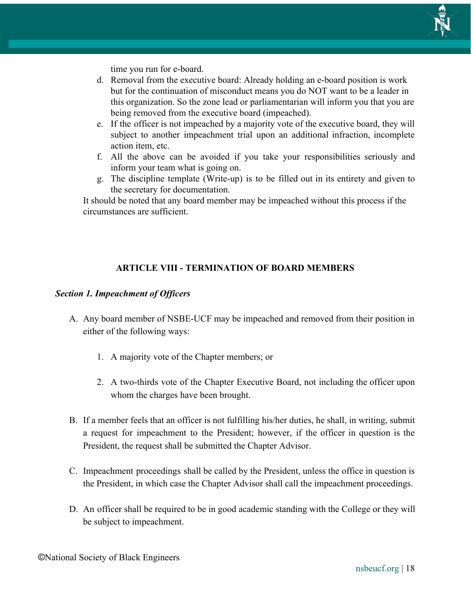

time you run for e-board.

- d. Removal from the executive board: Already holding an e-board position is work but for the continuation of misconduct means you do NOT want to be a leader in this organization. So the zone lead or parliamentarian will inform you that you are being removed from the executive board (impeached).
- e. If the officer is not impeached by a majority vote of the executive board, they will subject to another impeachment trial upon an additional infraction, incomplete action item, etc.
- f. All the above can be avoided if you take your responsibilities seriously and inform your team what is going on.
- g. The discipline template (Write-up) is to be filled out in its entirety and given to the secretary for documentation.

It should be noted that any board member may be impeached without this process if the circumstances are sufficient.

### **ARTICLE VIII - TERMINATION OF BOARD MEMBERS**

#### *Section 1. Impeachment of Officers*

- A. Any board member of NSBE-UCF may be impeached and removed from their position in either of the following ways:
	- 1. A majority vote of the Chapter members; or
	- 2. A two-thirds vote of the Chapter Executive Board, not including the officer upon whom the charges have been brought.
- B. If a member feels that an officer is not fulfilling his/her duties, he shall, in writing, submit a request for impeachment to the President; however, if the officer in question is the President, the request shall be submitted the Chapter Advisor.
- C. Impeachment proceedings shall be called by the President, unless the office in question is the President, in which case the Chapter Advisor shall call the impeachment proceedings.
- D. An officer shall be required to be in good academic standing with the College or they will be subject to impeachment.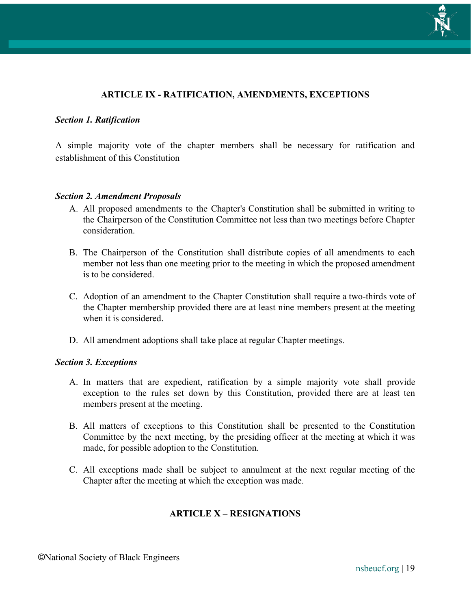

#### **ARTICLE IX - RATIFICATION, AMENDMENTS, EXCEPTIONS**

#### *Section 1. Ratification*

A simple majority vote of the chapter members shall be necessary for ratification and establishment of this Constitution

#### *Section 2. Amendment Proposals*

- A. All proposed amendments to the Chapter's Constitution shall be submitted in writing to the Chairperson of the Constitution Committee not less than two meetings before Chapter consideration.
- B. The Chairperson of the Constitution shall distribute copies of all amendments to each member not less than one meeting prior to the meeting in which the proposed amendment is to be considered.
- C. Adoption of an amendment to the Chapter Constitution shall require a two-thirds vote of the Chapter membership provided there are at least nine members present at the meeting when it is considered.
- D. All amendment adoptions shall take place at regular Chapter meetings.

#### *Section 3. Exceptions*

- A. In matters that are expedient, ratification by a simple majority vote shall provide exception to the rules set down by this Constitution, provided there are at least ten members present at the meeting.
- B. All matters of exceptions to this Constitution shall be presented to the Constitution Committee by the next meeting, by the presiding officer at the meeting at which it was made, for possible adoption to the Constitution.
- C. All exceptions made shall be subject to annulment at the next regular meeting of the Chapter after the meeting at which the exception was made.

#### **ARTICLE X – RESIGNATIONS**